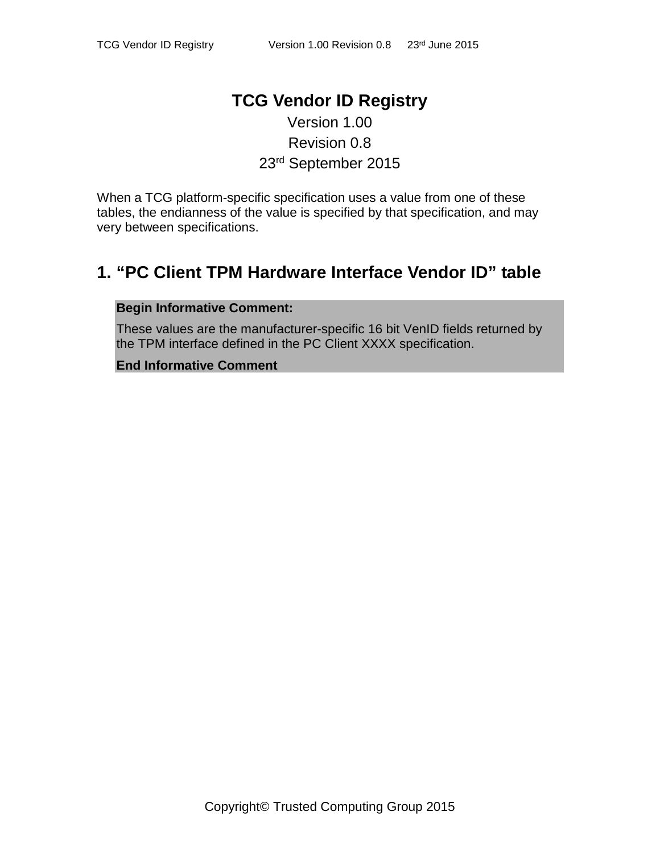### **TCG Vendor ID Registry** Version 1.00

# Revision 0.8 23rd September 2015

When a TCG platform-specific specification uses a value from one of these tables, the endianness of the value is specified by that specification, and may very between specifications.

## **1. "PC Client TPM Hardware Interface Vendor ID" table**

#### **Begin Informative Comment:**

These values are the manufacturer-specific 16 bit VenID fields returned by the TPM interface defined in the PC Client XXXX specification.

#### **End Informative Comment**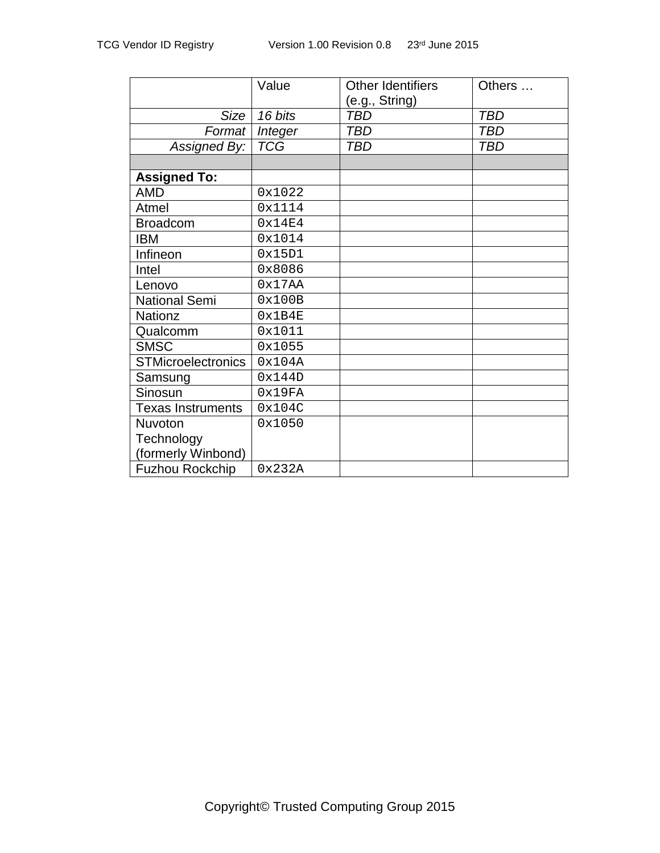|                           | Value      | <b>Other Identifiers</b> | Others     |
|---------------------------|------------|--------------------------|------------|
|                           |            | (e.g., String)           |            |
| Size                      | 16 bits    | <b>TBD</b>               | <b>TBD</b> |
| Format                    | Integer    | <b>TBD</b>               | <b>TBD</b> |
| Assigned By:              | <b>TCG</b> | <b>TBD</b>               | <b>TBD</b> |
|                           |            |                          |            |
| <b>Assigned To:</b>       |            |                          |            |
| <b>AMD</b>                | 0x1022     |                          |            |
| Atmel                     | 0x1114     |                          |            |
| <b>Broadcom</b>           | 0x14E4     |                          |            |
| <b>IBM</b>                | 0x1014     |                          |            |
| Infineon                  | 0x15D1     |                          |            |
| Intel                     | 0x8086     |                          |            |
| Lenovo                    | 0x17AA     |                          |            |
| <b>National Semi</b>      | 0x100B     |                          |            |
| <b>Nationz</b>            | 0x1B4E     |                          |            |
| Qualcomm                  | 0x1011     |                          |            |
| <b>SMSC</b>               | 0x1055     |                          |            |
| <b>STMicroelectronics</b> | 0x104A     |                          |            |
| Samsung                   | 0x144D     |                          |            |
| Sinosun                   | 0x19FA     |                          |            |
| <b>Texas Instruments</b>  | 0x104C     |                          |            |
| Nuvoton                   | 0x1050     |                          |            |
| Technology                |            |                          |            |
| (formerly Winbond)        |            |                          |            |
| <b>Fuzhou Rockchip</b>    | 0x232A     |                          |            |